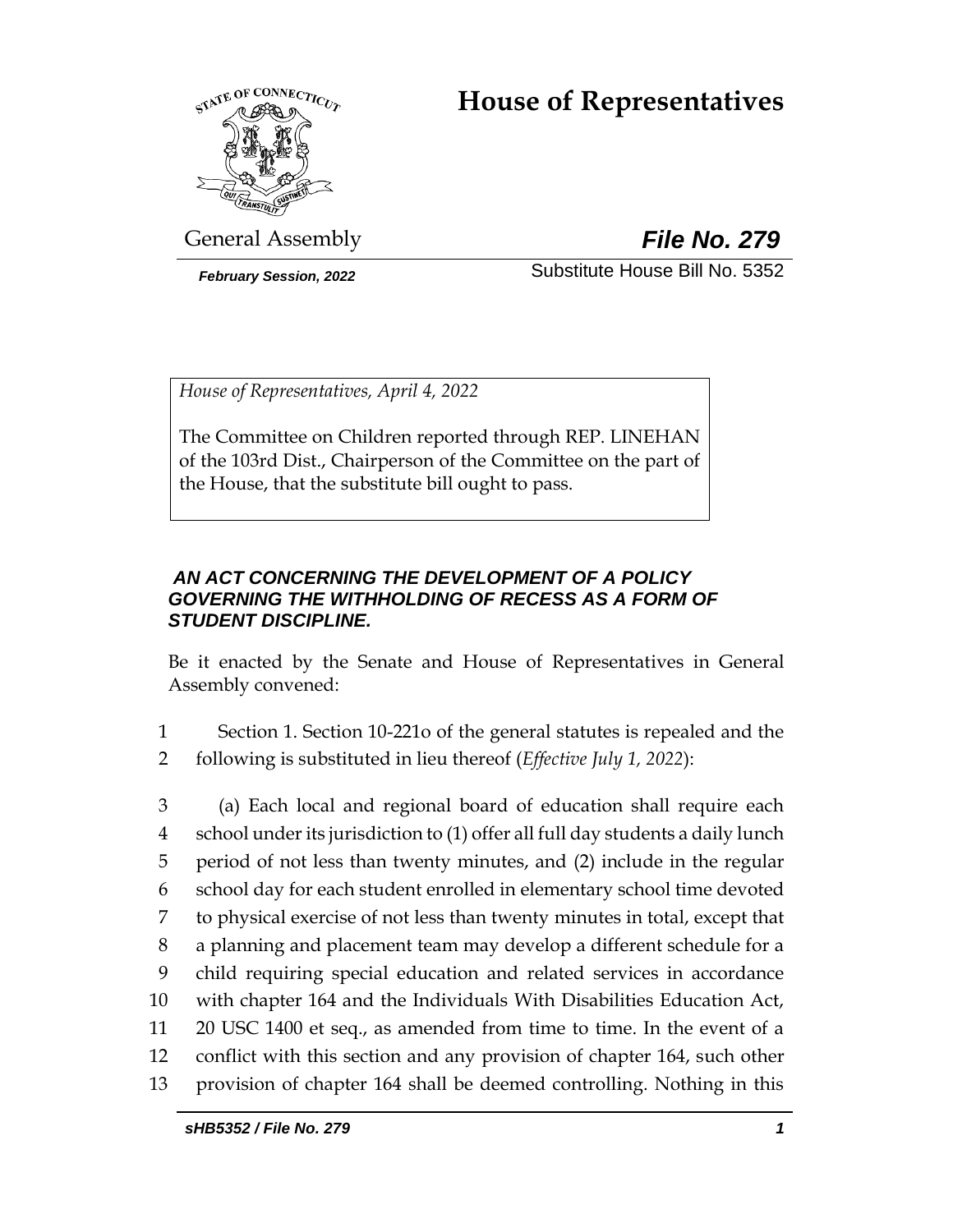# **House of Representatives**



General Assembly *File No. 279*

*February Session, 2022* Substitute House Bill No. 5352

*House of Representatives, April 4, 2022*

The Committee on Children reported through REP. LINEHAN of the 103rd Dist., Chairperson of the Committee on the part of the House, that the substitute bill ought to pass.

### *AN ACT CONCERNING THE DEVELOPMENT OF A POLICY GOVERNING THE WITHHOLDING OF RECESS AS A FORM OF STUDENT DISCIPLINE.*

Be it enacted by the Senate and House of Representatives in General Assembly convened:

- 1 Section 1. Section 10-221o of the general statutes is repealed and the 2 following is substituted in lieu thereof (*Effective July 1, 2022*):
- 3 (a) Each local and regional board of education shall require each 4 school under its jurisdiction to (1) offer all full day students a daily lunch 5 period of not less than twenty minutes, and (2) include in the regular 6 school day for each student enrolled in elementary school time devoted 7 to physical exercise of not less than twenty minutes in total, except that 8 a planning and placement team may develop a different schedule for a 9 child requiring special education and related services in accordance 10 with chapter 164 and the Individuals With Disabilities Education Act, 11 20 USC 1400 et seq., as amended from time to time. In the event of a 12 conflict with this section and any provision of chapter 164, such other 13 provision of chapter 164 shall be deemed controlling. Nothing in this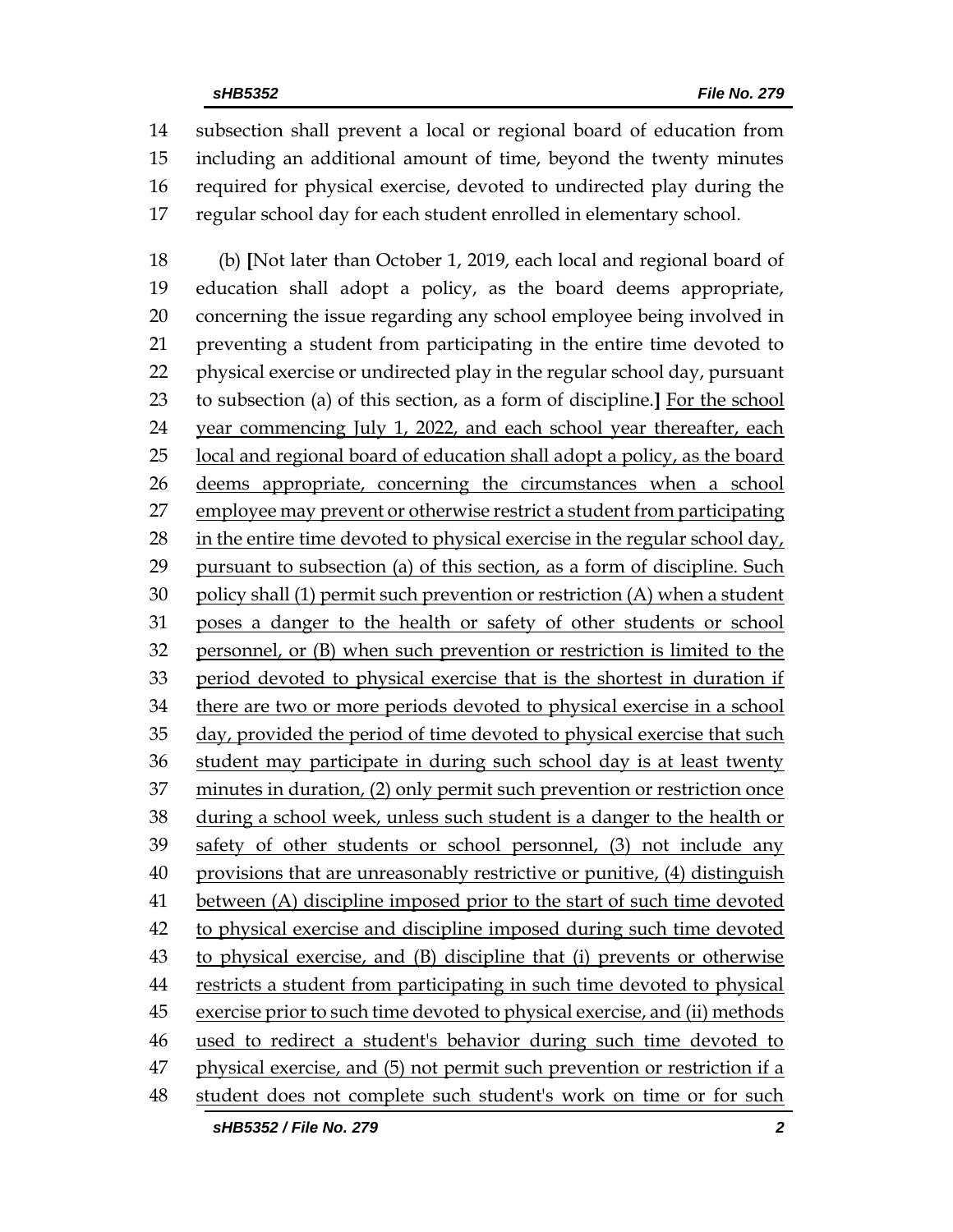subsection shall prevent a local or regional board of education from including an additional amount of time, beyond the twenty minutes required for physical exercise, devoted to undirected play during the regular school day for each student enrolled in elementary school.

 (b) **[**Not later than October 1, 2019, each local and regional board of education shall adopt a policy, as the board deems appropriate, concerning the issue regarding any school employee being involved in preventing a student from participating in the entire time devoted to physical exercise or undirected play in the regular school day, pursuant to subsection (a) of this section, as a form of discipline.**]** For the school year commencing July 1, 2022, and each school year thereafter, each local and regional board of education shall adopt a policy, as the board deems appropriate, concerning the circumstances when a school employee may prevent or otherwise restrict a student from participating in the entire time devoted to physical exercise in the regular school day, pursuant to subsection (a) of this section, as a form of discipline. Such policy shall (1) permit such prevention or restriction (A) when a student poses a danger to the health or safety of other students or school personnel, or (B) when such prevention or restriction is limited to the period devoted to physical exercise that is the shortest in duration if there are two or more periods devoted to physical exercise in a school day, provided the period of time devoted to physical exercise that such student may participate in during such school day is at least twenty minutes in duration, (2) only permit such prevention or restriction once during a school week, unless such student is a danger to the health or safety of other students or school personnel, (3) not include any 40 provisions that are unreasonably restrictive or punitive, (4) distinguish 41 between (A) discipline imposed prior to the start of such time devoted to physical exercise and discipline imposed during such time devoted to physical exercise, and (B) discipline that (i) prevents or otherwise restricts a student from participating in such time devoted to physical exercise prior to such time devoted to physical exercise, and (ii) methods used to redirect a student's behavior during such time devoted to 47 physical exercise, and (5) not permit such prevention or restriction if a student does not complete such student's work on time or for such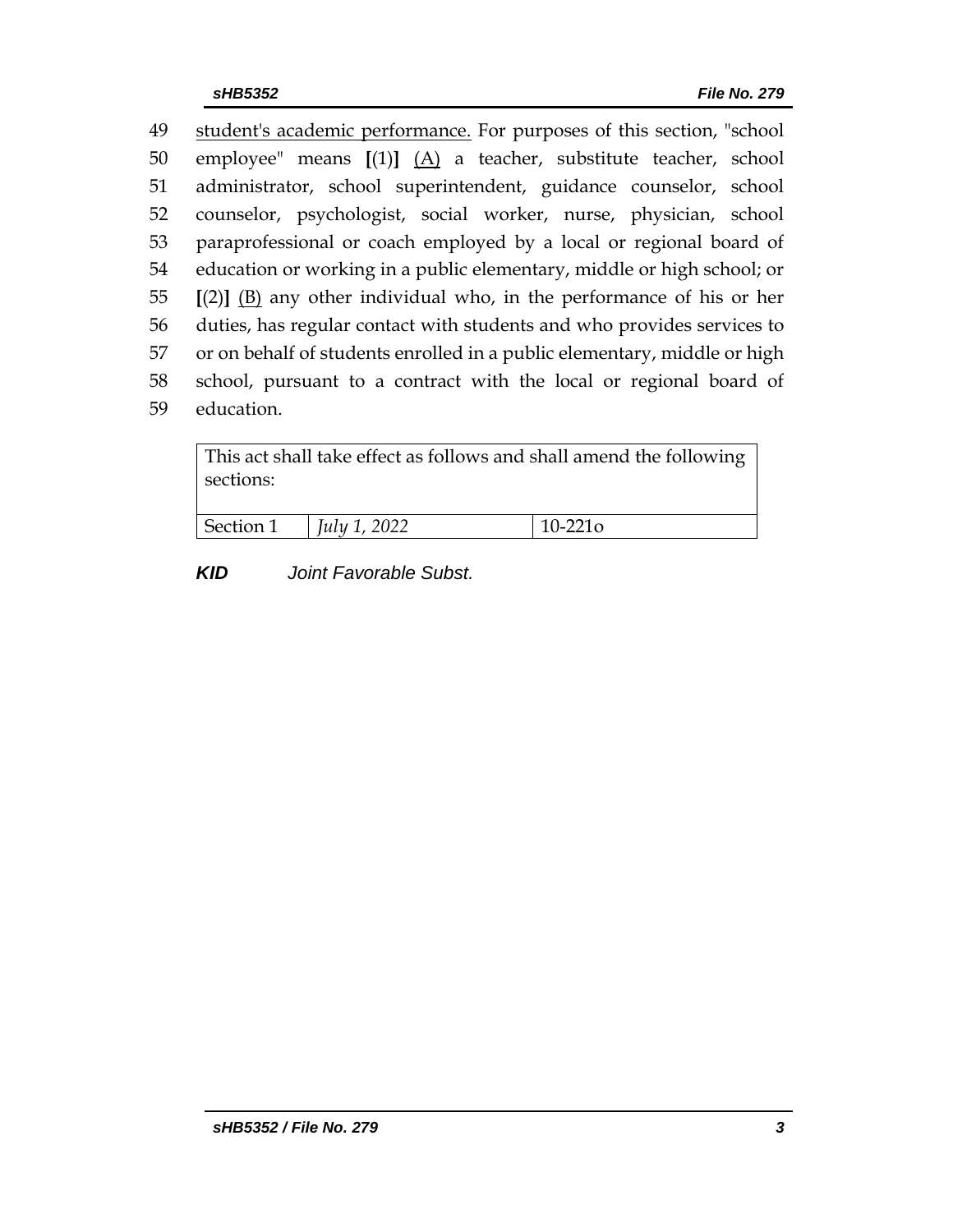student's academic performance. For purposes of this section, "school employee" means **[**(1)**]** (A) a teacher, substitute teacher, school administrator, school superintendent, guidance counselor, school counselor, psychologist, social worker, nurse, physician, school paraprofessional or coach employed by a local or regional board of education or working in a public elementary, middle or high school; or **[**(2)**]** (B) any other individual who, in the performance of his or her duties, has regular contact with students and who provides services to or on behalf of students enrolled in a public elementary, middle or high school, pursuant to a contract with the local or regional board of education.

| This act shall take effect as follows and shall amend the following<br>sections: |                     |            |
|----------------------------------------------------------------------------------|---------------------|------------|
| Section 1                                                                        | <i>July 1, 2022</i> | $10-221$ o |

*KID Joint Favorable Subst.*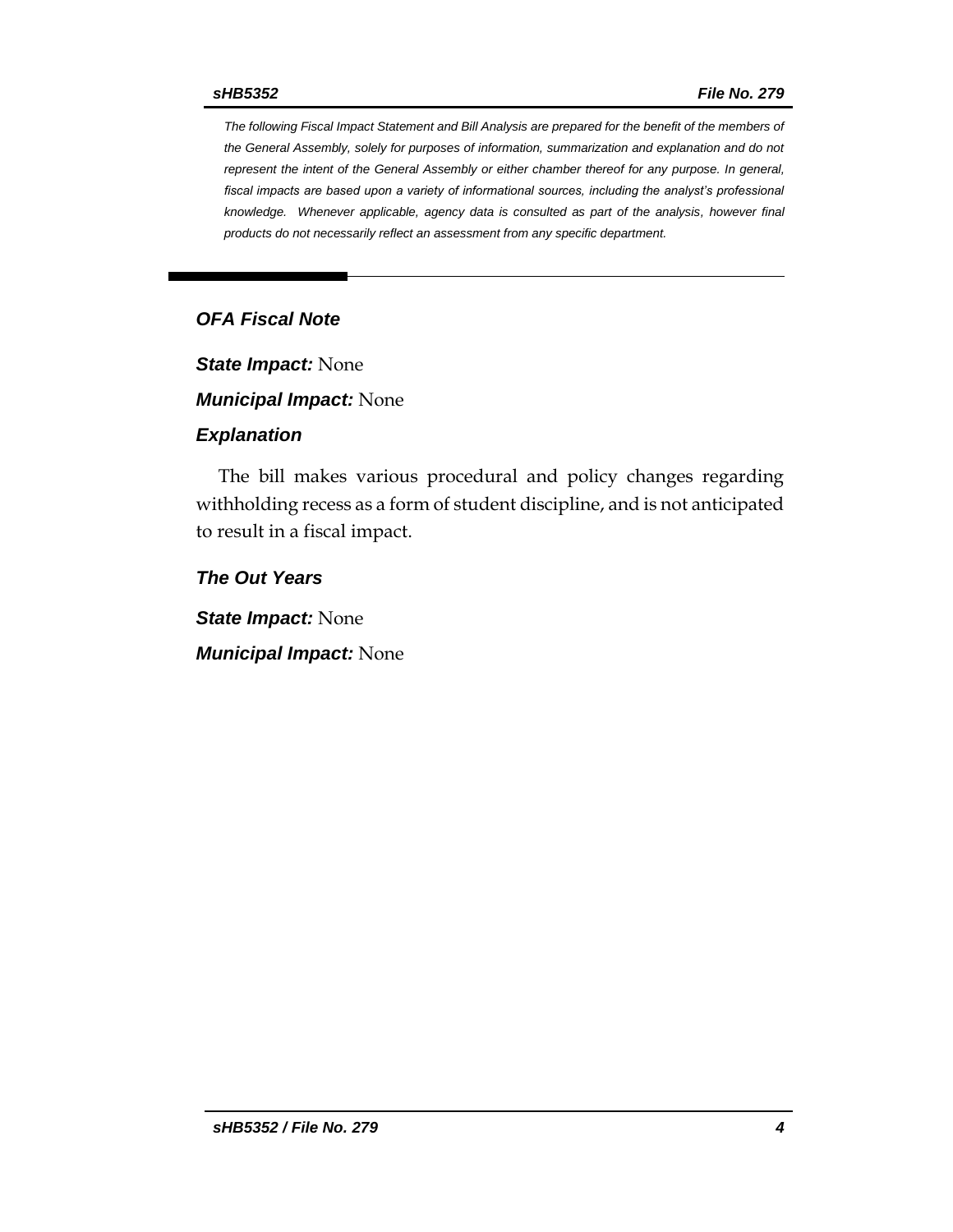*The following Fiscal Impact Statement and Bill Analysis are prepared for the benefit of the members of the General Assembly, solely for purposes of information, summarization and explanation and do not represent the intent of the General Assembly or either chamber thereof for any purpose. In general, fiscal impacts are based upon a variety of informational sources, including the analyst's professional knowledge. Whenever applicable, agency data is consulted as part of the analysis, however final products do not necessarily reflect an assessment from any specific department.*

### *OFA Fiscal Note*

*State Impact:* None

*Municipal Impact:* None

#### *Explanation*

The bill makes various procedural and policy changes regarding withholding recess as a form of student discipline, and is not anticipated to result in a fiscal impact.

*The Out Years*

*State Impact:* None

*Municipal Impact:* None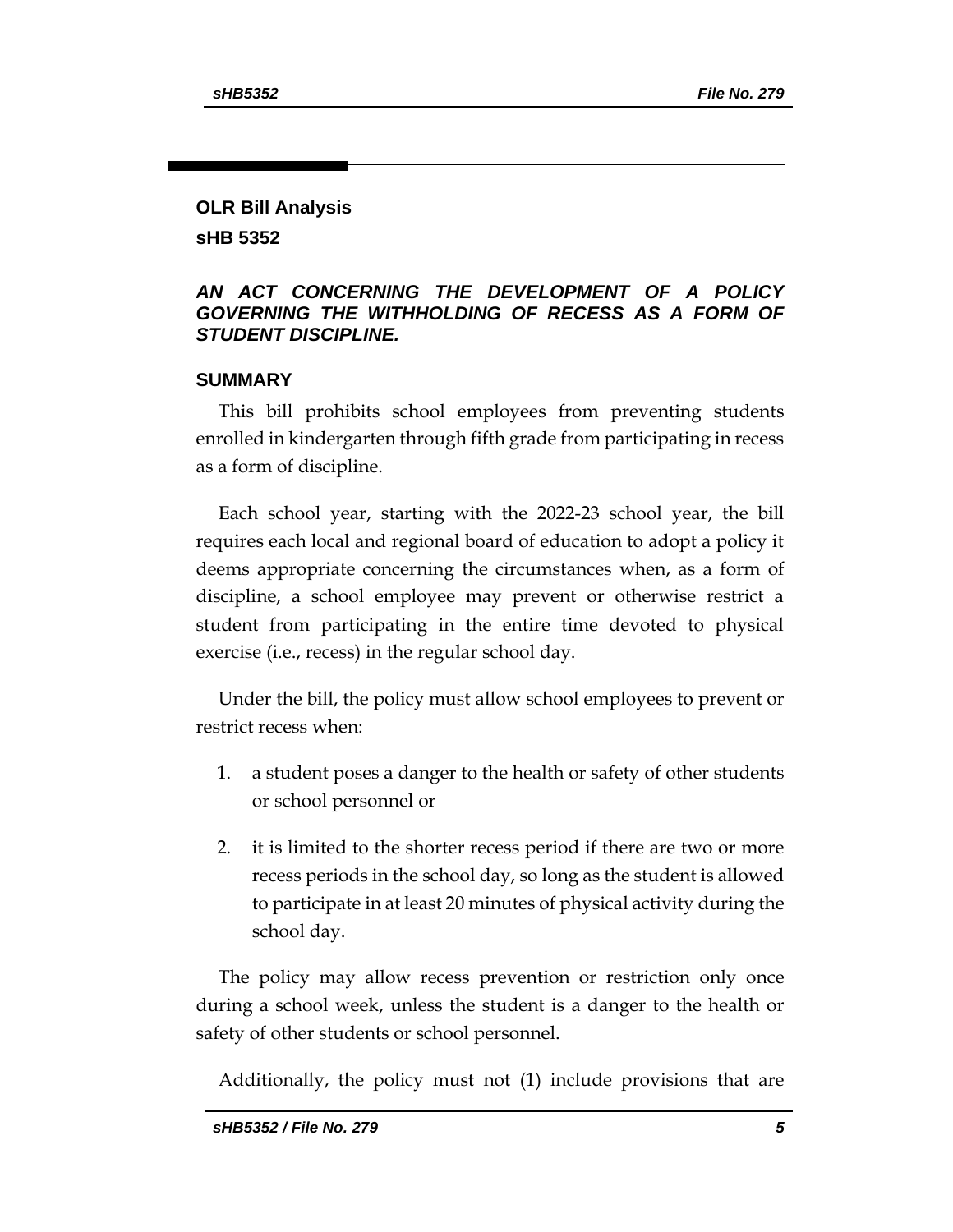## **OLR Bill Analysis**

**sHB 5352**

### *AN ACT CONCERNING THE DEVELOPMENT OF A POLICY GOVERNING THE WITHHOLDING OF RECESS AS A FORM OF STUDENT DISCIPLINE.*

### **SUMMARY**

This bill prohibits school employees from preventing students enrolled in kindergarten through fifth grade from participating in recess as a form of discipline.

Each school year, starting with the 2022-23 school year, the bill requires each local and regional board of education to adopt a policy it deems appropriate concerning the circumstances when, as a form of discipline, a school employee may prevent or otherwise restrict a student from participating in the entire time devoted to physical exercise (i.e., recess) in the regular school day.

Under the bill, the policy must allow school employees to prevent or restrict recess when:

- 1. a student poses a danger to the health or safety of other students or school personnel or
- 2. it is limited to the shorter recess period if there are two or more recess periods in the school day, so long as the student is allowed to participate in at least 20 minutes of physical activity during the school day.

The policy may allow recess prevention or restriction only once during a school week, unless the student is a danger to the health or safety of other students or school personnel.

Additionally, the policy must not (1) include provisions that are